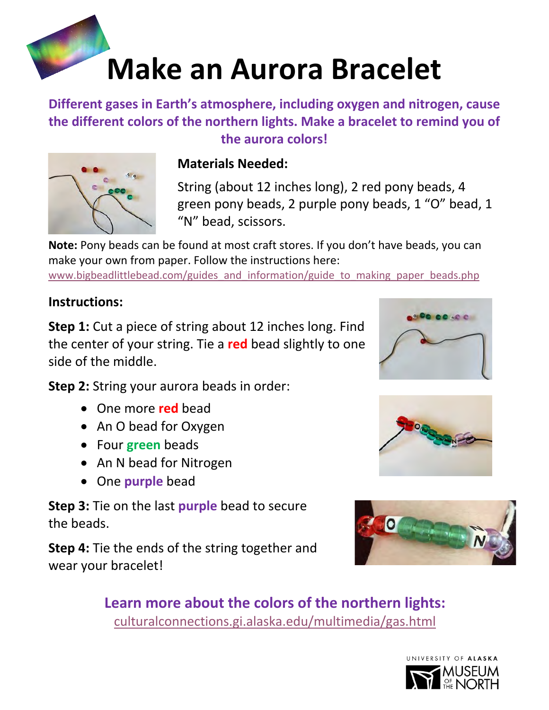## **Make an Aurora Bracelet**

**Different gases in Earth's atmosphere, including oxygen and nitrogen, cause the different colors of the northern lights. Make a bracelet to remind you of the aurora colors!** 



## **Materials Needed:**

String (about 12 inches long), 2 red pony beads, 4 green pony beads, 2 purple pony beads, 1 "O" bead, 1 "N" bead, scissors.

**Note:** Pony beads can be found at most craft stores. If you don't have beads, you can make your own from paper. Follow the instructions here:

[www.bigbeadlittlebead.com/guides\\_and\\_information/guide\\_to\\_making\\_paper\\_beads.php](http://www.bigbeadlittlebead.com/guides_and_information/guide_to_making_paper_beads.php)

## **Instructions:**

**Step 1:** Cut a piece of string about 12 inches long. Find the center of your string. Tie a **red** bead slightly to one side of the middle.

**Step 2:** String your aurora beads in order:

- One more **red** bead •
- An O bead for Oxygen
- Four **green** beads •
- An N bead for Nitrogen
- **•** One *purple* bead

**Step 3:** Tie on the last **purple** bead to secure the beads.

**Step 4:** Tie the ends of the string together and wear your bracelet!







**Learn more about the colors of the northern lights:**  [culturalconnections.gi.alaska.edu/multimedia/gas.html](https://culturalconnections.gi.alaska.edu/multimedia/gas.html)